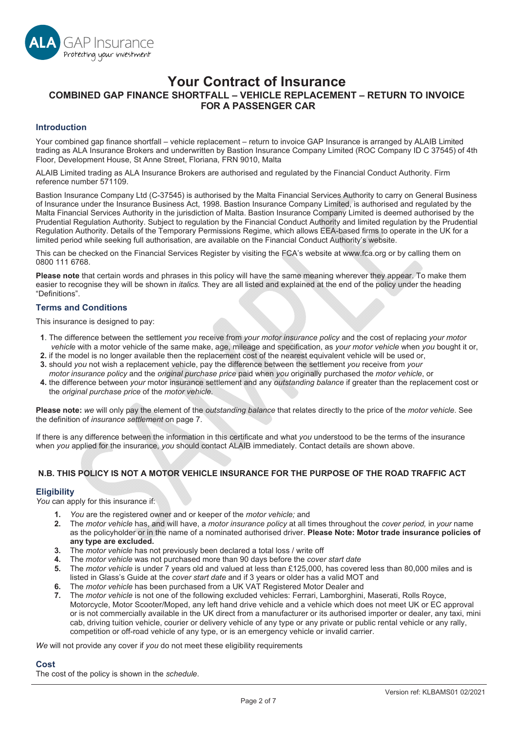

# **Your Contract of Insurance COMBINED GAP FINANCE SHORTFALL – VEHICLE REPLACEMENT – RETURN TO INVOICE FOR A PASSENGER CAR**

### **Introduction**

Your combined gap finance shortfall – vehicle replacement – return to invoice GAP Insurance is arranged by ALAIB Limited trading as ALA Insurance Brokers and underwritten by Bastion Insurance Company Limited (ROC Company ID C 37545) of 4th Floor, Development House, St Anne Street, Floriana, FRN 9010, Malta

ALAIB Limited trading as ALA Insurance Brokers are authorised and regulated by the Financial Conduct Authority. Firm reference number 571109.

Bastion Insurance Company Ltd (C-37545) is authorised by the Malta Financial Services Authority to carry on General Business of Insurance under the Insurance Business Act, 1998. Bastion Insurance Company Limited, is authorised and regulated by the Malta Financial Services Authority in the jurisdiction of Malta. Bastion Insurance Company Limited is deemed authorised by the Prudential Requlation Authority. Subject to requlation by the Financial Conduct Authority and limited requlation by the Prudential Regulation Authority. Details of the Temporary Permissions Regime, which allows EEA-based firms to operate in the UK for a limited period while seeking full authorisation, are available on the Financial Conduct Authority's website.

This can be checked on the Financial Services Register by visiting the FCA's website at www.fca.org or by calling them on 0800 111 6768.

**Please note** that certain words and phrases in this policy will have the same meaning wherever they appear. To make them easier to recognise they will be shown in *italics.* They are all listed and explained at the end of the policy under the heading "Definitions".

#### **Terms and Conditions**

This insurance is designed to pay:

- **1**. The difference between the settlement *you* receive from *your motor insurance policy* and the cost of replacing *your motor vehicle* with a motor vehicle of the same make, age, mileage and specification, as *your motor vehicle* when *you* bought it or,
- **2.** if the model is no longer available then the replacement cost of the nearest equivalent vehicle will be used or,
- **3.** should *you* not wish a replacement vehicle, pay the difference between the settlement *you* receive from *your motor insurance policy* and the *original purchase price* paid when *you* originally purchased the *motor vehicle*, or
- **4.** the difference between *your* motor insurance settlement and any *outstanding balance* if greater than the replacement cost or the *original purchase price* of the *motor vehicle.*

**Please note:** *we* will only pay the element of the *outstanding balance* that relates directly to the price of the *motor vehicle*. See the definition of *insurance settlement* on page 7.

If there is any difference between the information in this certificate and what *you* understood to be the terms of the insurance when *you* applied for the insurance, *you* should contact ALAIB immediately. Contact details are shown above.

## **N.B. THIS POLICY IS NOT A MOTOR VEHICLE INSURANCE FOR THE PURPOSE OF THE ROAD TRAFFIC ACT**

## **Eligibility**

*You* can apply for this insurance if:

- *You* are the registered owner and or keeper of the *motor vehicle;* and
- The *motor vehicle* has, and will have, a *motor insurance policy* at all times throughout the *cover period,* in *your* name as the policyholder or in the name of a nominated authorised driver. **Please Note: Motor trade insurance policies of any type are excluded.**
- 3. The *motor vehicle* has not previously been declared a total loss / write off
- 4. The *motor vehicle* was not purchased more than 90 days before the *cover start date*
- The *motor vehicle* is under 7 years old and valued at less than £125,000, has covered less than 80,000 miles and is listed in Glass's Guide at the *cover start date* and if 3 years or older has a valid MOT and
- The *motor vehicle* has been purchased from a UK VAT Registered Motor Dealer and
- The *motor vehicle* is not one of the following excluded vehicles: Ferrari, Lamborghini, Maserati, Rolls Royce, Motorcycle, Motor Scooter/Moped, any left hand drive vehicle and a vehicle which does not meet UK or EC approval or is not commercially available in the UK direct from a manufacturer or its authorised importer or dealer, any taxi, mini cab, driving tuition vehicle, courier or delivery vehicle of any type or any private or public rental vehicle or any rally, competition or off-road vehicle of any type, or is an emergency vehicle or invalid carrier.

*We* will not provide any cover if *you* do not meet these eligibility requirements

## **Cost**

The cost of the policy is shown in the *schedule*.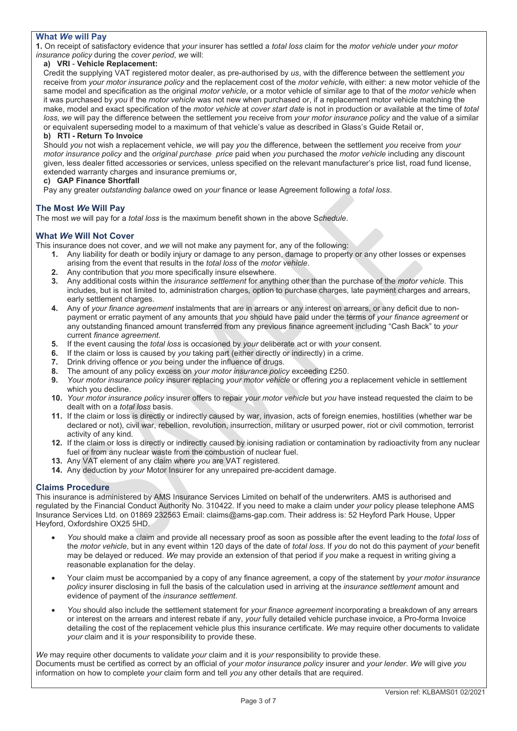## **What** *We* **will Pay**

**1.** On receipt of satisfactory evidence that *your* insurer has settled a *total loss* claim for the *motor vehicle* under *your motor insurance policy* during the *cover period*, *we* will:

## **a) VRI** - **Vehicle Replacement:**

Credit the supplying VAT registered motor dealer, as pre-authorised by *us*, with the difference between the settlement *you* receive from *your motor insurance policy* and the replacement cost of the *motor vehicle*, with either: a new motor vehicle of the same model and specification as the original *motor vehicle*, or a motor vehicle of similar age to that of the *motor vehicle* when it was purchased by *you* if the *motor vehicle* was not new when purchased or, if a replacement motor vehicle matching the make, model and exact specification of the *motor vehicle* at *cover start date* is not in production or available at the time of *total loss, we* will pay the difference between the settlement *you* receive from *your motor insurance policy* and the value of a similar or equivalent superseding model to a maximum of that vehicle's value as described in Glass's Guide Retail or,

#### **b) RTI - Return To Invoice**

Should *you* not wish a replacement vehicle, *we* will pay *you* the difference, between the settlement *you* receive from *your motor insurance policy* and the *original purchase price* paid when *you* purchased the *motor vehicle* including any discount given, less dealer fitted accessories or services, unless specified on the relevant manufacturer's price list, road fund license, extended warranty charges and insurance premiums or,

## **c) GAP Finance Shortfall**

Pay any greater *outstanding balance* owed on *your* finance or lease Agreement following a *total loss*.

#### **The Most** *We* **Will Pay**

The most *we* will pay for a *total loss* is the maximum benefit shown in the above S*chedule*.

#### **What** *We* **Will Not Cover**

This insurance does not cover, and *we* will not make any payment for, any of the following:

- **1.** Any liability for death or bodily injury or damage to any person, damage to property or any other losses or expenses arising from the event that results in the *total loss* of the *motor vehicle*.
- **2.** Any contribution that *you* more specifically insure elsewhere.
- **3.** Any additional costs within the *insurance settlement* for anything other than the purchase of the *motor vehicle*. This includes, but is not limited to, administration charges, option to purchase charges, late payment charges and arrears, early settlement charges.
- **4.** Any of *your finance agreement* instalments that are in arrears or any interest on arrears, or any deficit due to nonpayment or erratic payment of any amounts that *you* should have paid under the terms of *your finance agreement* or any outstanding financed amount transferred from any previous finance agreement including "Cash Back" to *your* current *finance agreement*.
- **5.** If the event causing the *total loss* is occasioned by *your* deliberate act or with *your* consent.
- **6.** If the claim or loss is caused by *you* taking part (either directly or indirectly) in a crime.
- **7.** Drink driving offence or *you* being under the influence of drugs.
- **8.** The amount of any policy excess on *your motor insurance policy* exceeding £250.
- **9.** *Your motor insurance policy* insurer replacing *your motor vehicle* or offering *you* a replacement vehicle in settlement which you decline.
- **10.** *Your motor insurance policy* insurer offers to repair *your motor vehicle* but *you* have instead requested the claim to be dealt with on a *total loss* basis.
- **11.** If the claim or loss is directly or indirectly caused by war, invasion, acts of foreign enemies, hostilities (whether war be declared or not), civil war, rebellion, revolution, insurrection, military or usurped power, riot or civil commotion, terrorist activity of any kind.
- **12.** If the claim or loss is directly or indirectly caused by ionising radiation or contamination by radioactivity from any nuclear fuel or from any nuclear waste from the combustion of nuclear fuel.
- **13.** Any VAT element of any claim where *you* are VAT registered.
- **14.** Any deduction by *your* Motor Insurer for any unrepaired pre-accident damage.

#### **Claims Procedure**

This insurance is administered by AMS Insurance Services Limited on behalf of the underwriters. AMS is authorised and regulated by the Financial Conduct Authority No. 310422. If you need to make a claim under *your* policy please telephone AMS Insurance Services Ltd. on 01869 232563 Email: claims@ams-gap.com. Their address is: 52 Heyford Park House, Upper Heyford, Oxfordshire OX25 5HD.

- x *You* should make a claim and provide all necessary proof as soon as possible after the event leading to the *total loss* of the *motor vehicle*, but in any event within 120 days of the date of *total loss*. If *you* do not do this payment of *your* benefit may be delayed or reduced. *We* may provide an extension of that period if *you* make a request in writing giving a reasonable explanation for the delay.
- x Your claim must be accompanied by a copy of any finance agreement, a copy of the statement by *your motor insurance policy* insurer disclosing in full the basis of the calculation used in arriving at the *insurance settlement* amount and evidence of payment of the *insurance settlement*.
- x *You* should also include the settlement statement for *your finance agreement* incorporating a breakdown of any arrears or interest on the arrears and interest rebate if any, *your* fully detailed vehicle purchase invoice, a Pro-forma Invoice detailing the cost of the replacement vehicle plus this insurance certificate. *We* may require other documents to validate *your* claim and it is *your* responsibility to provide these.

*We* may require other documents to validate *your* claim and it is *your* responsibility to provide these. Documents must be certified as correct by an official of *your motor insurance policy* insurer and *your lender*. *We* will give *you* information on how to complete *your* claim form and tell *you* any other details that are required.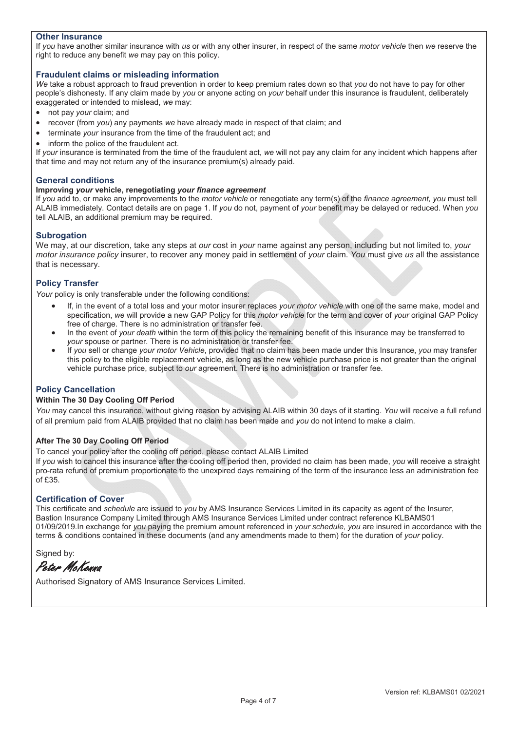### **Other Insurance**

If *you* have another similar insurance with *us* or with any other insurer, in respect of the same *motor vehicle* then *we* reserve the right to reduce any benefit *we* may pay on this policy.

#### **Fraudulent claims or misleading information**

*We* take a robust approach to fraud prevention in order to keep premium rates down so that *you* do not have to pay for other people's dishonesty. If any claim made by *you* or anyone acting on *your* behalf under this insurance is fraudulent, deliberately exaggerated or intended to mislead, *we* may:

- not pay *your* claim; and
- recover (from *you*) any payments we have already made in respect of that claim; and
- terminate *your* insurance from the time of the fraudulent act; and
- inform the police of the fraudulent act.

If *your* insurance is terminated from the time of the fraudulent act, *we* will not pay any claim for any incident which happens after that time and may not return any of the insurance premium(s) already paid.

#### **General conditions**

#### **Improving** *your* **vehicle, renegotiating** *your finance agreement*

If *you* add to, or make any improvements to the *motor vehicle* or renegotiate any term(s) of the *finance agreement, you* must tell ALAIB immediately. Contact details are on page 1. If *you* do not, payment of *your* benefit may be delayed or reduced. When *you* tell ALAIB, an additional premium may be required.

#### **Subrogation**

We may, at our discretion, take any steps at *our* cost in *your* name against any person, including but not limited to, *your motor insurance policy* insurer, to recover any money paid in settlement of *your* claim. *You* must give *us* all the assistance that is necessary.

## **Policy Transfer**

*Your* policy is only transferable under the following conditions:

- If, in the event of a total loss and your motor insurer replaces *your motor vehicle* with one of the same make, model and specification, *we* will provide a new GAP Policy for this *motor vehicle* for the term and cover of *your* original GAP Policy free of charge. There is no administration or transfer fee.
- In the event of *your death* within the term of this policy the remaining benefit of this insurance may be transferred to *your* spouse or partner. There is no administration or transfer fee.
- x If *you* sell or change *your motor Vehicle*, provided that no claim has been made under this Insurance, *you* may transfer this policy to the eligible replacement vehicle, as long as the new vehicle purchase price is not greater than the original vehicle purchase price, subject to *our* agreement. There is no administration or transfer fee.

#### **Policy Cancellation**

#### **Within The 30 Day Cooling Off Period**

*You* may cancel this insurance, without giving reason by advising ALAIB within 30 days of it starting. *You* will receive a full refund of all premium paid from ALAIB provided that no claim has been made and *you* do not intend to make a claim.

#### **After The 30 Day Cooling Off Period**

To cancel your policy after the cooling off period, please contact ALAIB Limited

If *you* wish to cancel this insurance after the cooling off period then, provided no claim has been made, *you* will receive a straight pro-rata refund of premium proportionate to the unexpired days remaining of the term of the insurance less an administration fee of £35.

#### **Certification of Cover**

This certificate and *schedule* are issued to *you* by AMS Insurance Services Limited in its capacity as agent of the Insurer, Bastion Insurance Company Limited through AMS Insurance Services Limited under contract reference KLBAMS01 01/09/2019.In exchange for *you* paying the premium amount referenced in *your schedule*, *you* are insured in accordance with the terms & conditions contained in these documents (and any amendments made to them) for the duration of *your* policy.

Signed by:

Peter McKenna

Authorised Signatory of AMS Insurance Services Limited.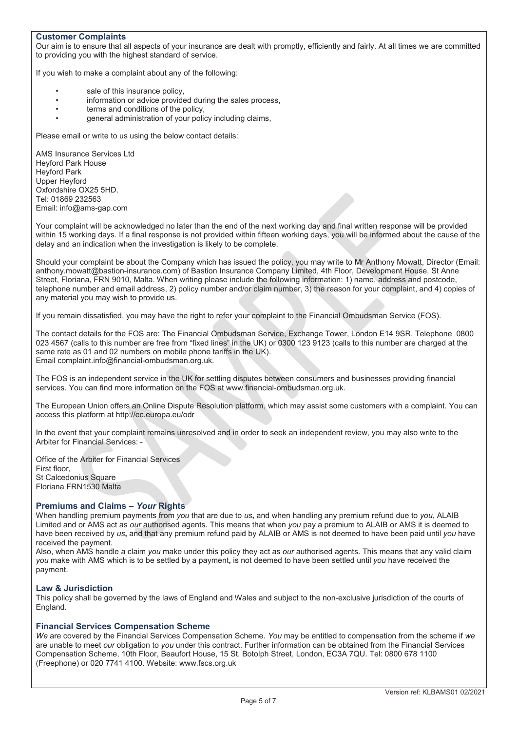### **Customer Complaints**

Our aim is to ensure that all aspects of your insurance are dealt with promptly, efficiently and fairly. At all times we are committed to providing you with the highest standard of service.

If you wish to make a complaint about any of the following:

- sale of this insurance policy,
- information or advice provided during the sales process,
- terms and conditions of the policy,
- general administration of your policy including claims,

Please email or write to us using the below contact details:

AMS Insurance Services Ltd Heyford Park House Heyford Park Upper Heyford Oxfordshire OX25 5HD. Tel: 01869 232563 Email: info@ams-gap.com

Your complaint will be acknowledged no later than the end of the next working day and final written response will be provided within 15 working days. If a final response is not provided within fifteen working days, you will be informed about the cause of the delay and an indication when the investigation is likely to be complete.

Should your complaint be about the Company which has issued the policy, you may write to Mr Anthony Mowatt, Director (Email: anthony.mowatt@bastion-insurance.com) of Bastion Insurance Company Limited, 4th Floor, Development House, St Anne Street, Floriana, FRN 9010, Malta. When writing please include the following information: 1) name, address and postcode, telephone number and email address, 2) policy number and/or claim number, 3) the reason for your complaint, and 4) copies of any material you may wish to provide us.

If you remain dissatisfied, you may have the right to refer your complaint to the Financial Ombudsman Service (FOS).

The contact details for the FOS are: The Financial Ombudsman Service, Exchange Tower, London E14 9SR. Telephone 0800 023 4567 (calls to this number are free from "fixed lines" in the UK) or 0300 123 9123 (calls to this number are charged at the same rate as 01 and 02 numbers on mobile phone tariffs in the UK). Email complaint.info@financial-ombudsman.org.uk.

The FOS is an independent service in the UK for settling disputes between consumers and businesses providing financial services. You can find more information on the FOS at www.financial-ombudsman.org.uk.

The European Union offers an Online Dispute Resolution platform, which may assist some customers with a complaint. You can access this platform at http://ec.europa.eu/odr

In the event that your complaint remains unresolved and in order to seek an independent review, you may also write to the Arbiter for Financial Services: -

Office of the Arbiter for Financial Services First floor, St Calcedonius Square Floriana FRN1530 Malta

#### **Premiums and Claims –** *Your* **Rights**

When handling premium payments from *you* that are due to *us***,** and when handling any premium refund due to *you*, ALAIB Limited and or AMS act as *our* authorised agents. This means that when *you* pay a premium to ALAIB or AMS it is deemed to have been received by *us***,** and that any premium refund paid by ALAIB or AMS is not deemed to have been paid until *you* have received the payment.

Also, when AMS handle a claim *you* make under this policy they act as *our* authorised agents. This means that any valid claim *you* make with AMS which is to be settled by a payment**,** is not deemed to have been settled until *you* have received the payment.

#### **Law & Jurisdiction**

This policy shall be governed by the laws of England and Wales and subject to the non-exclusive jurisdiction of the courts of England.

#### **Financial Services Compensation Scheme**

*We* are covered by the Financial Services Compensation Scheme. *You* may be entitled to compensation from the scheme if *we*  are unable to meet *our* obligation to *you* under this contract. Further information can be obtained from the Financial Services Compensation Scheme, 10th Floor, Beaufort House, 15 St. Botolph Street, London, EC3A 7QU. Tel: 0800 678 1100 (Freephone) or 020 7741 4100. Website: www.fscs.org.uk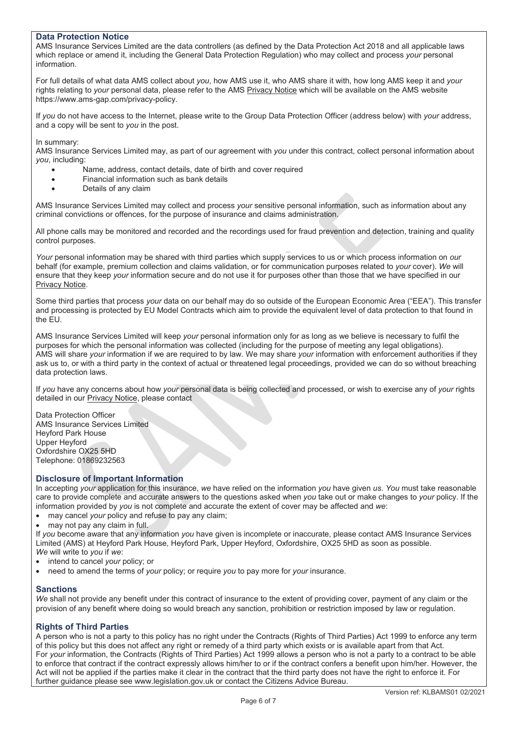#### **Data Protection Notice**

AMS Insurance Services Limited are the data controllers (as defined by the Data Protection Act 2018 and all applicable laws which replace or amend it, including the General Data Protection Regulation) who may collect and process *your* personal information.

For full details of what data AMS collect about *you*, how AMS use it, who AMS share it with, how long AMS keep it and *your* rights relating to your personal data, please refer to the AMS Privacy Notice which will be available on the AMS website https://www.ams-gap.com/privacy-policy.

If *you* do not have access to the Internet, please write to the Group Data Protection Officer (address below) with *your* address, and a copy will be sent to *you* in the post.

In summary:

AMS Insurance Services Limited may, as part of our agreement with *you* under this contract, collect personal information about *you*, including:

- Name, address, contact details, date of birth and cover required
- Financial information such as bank details
- Details of any claim

AMS Insurance Services Limited may collect and process *your* sensitive personal information, such as information about any criminal convictions or offences, for the purpose of insurance and claims administration.

All phone calls may be monitored and recorded and the recordings used for fraud prevention and detection, training and quality control purposes.

*Your* personal information may be shared with third parties which supply services to us or which process information on *our* behalf (for example, premium collection and claims validation, or for communication purposes related to *your* cover). *We* will ensure that they keep *your* information secure and do not use it for purposes other than those that we have specified in our Privacy Notice.

Some third parties that process *your* data on our behalf may do so outside of the European Economic Area ("EEA"). This transfer and processing is protected by EU Model Contracts which aim to provide the equivalent level of data protection to that found in the EU.

AMS Insurance Services Limited will keep *your* personal information only for as long as we believe is necessary to fulfil the purposes for which the personal information was collected (including for the purpose of meeting any legal obligations). AMS will share *your* information if we are required to by law. We may share *your* information with enforcement authorities if they ask us to, or with a third party in the context of actual or threatened legal proceedings, provided we can do so without breaching data protection laws.

If *you* have any concerns about how *your* personal data is being collected and processed, or wish to exercise any of *your* rights detailed in our Privacy Notice, please contact

Data Protection Officer AMS Insurance Services Limited Heyford Park House Upper Heyford Oxfordshire OX25 5HD Telephone: 01869232563

#### **Disclosure of Important Information**

In accepting *your* application for this insurance, *we* have relied on the information *you* have given *us*. *You* must take reasonable care to provide complete and accurate answers to the questions asked when *you* take out or make changes to *your* policy. If the information provided by *you* is not complete and accurate the extent of cover may be affected and *we*:

- may cancel *your* policy and refuse to pay any claim;
- may not pay any claim in full.

If *you* become aware that any information *you* have given is incomplete or inaccurate, please contact AMS Insurance Services Limited (AMS) at Heyford Park House, Heyford Park, Upper Heyford, Oxfordshire, OX25 5HD as soon as possible. *We* will write to *you* if *we*:

- x intend to cancel *your* policy; or
- x need to amend the terms of *your* policy; or require *you* to pay more for *your* insurance.

#### **Sanctions**

*We* shall not provide any benefit under this contract of insurance to the extent of providing cover, payment of any claim or the provision of any benefit where doing so would breach any sanction, prohibition or restriction imposed by law or regulation.

#### **Rights of Third Parties**

A person who is not a party to this policy has no right under the Contracts (Rights of Third Parties) Act 1999 to enforce any term of this policy but this does not affect any right or remedy of a third party which exists or is available apart from that Act. For *your* information, the Contracts (Rights of Third Parties) Act 1999 allows a person who is not a party to a contract to be able to enforce that contract if the contract expressly allows him/her to or if the contract confers a benefit upon him/her. However, the Act will not be applied if the parties make it clear in the contract that the third party does not have the right to enforce it. For further guidance please see www.legislation.gov.uk or contact the Citizens Advice Bureau.